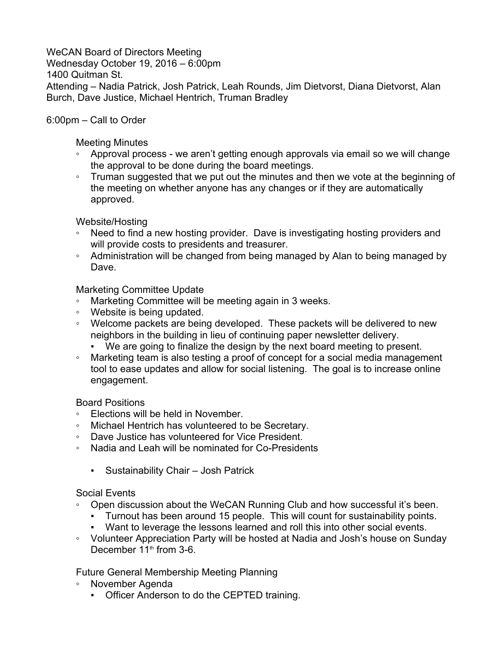## WeCAN Board of Directors Meeting

Wednesday October 19, 2016 – 6:00pm

1400 Quitman St.

Attending – Nadia Patrick, Josh Patrick, Leah Rounds, Jim Dietvorst, Diana Dietvorst, Alan Burch, Dave Justice, Michael Hentrich, Truman Bradley

## 6:00pm – Call to Order

Meeting Minutes

- Approval process we aren't getting enough approvals via email so we will change the approval to be done during the board meetings.
- Truman suggested that we put out the minutes and then we vote at the beginning of the meeting on whether anyone has any changes or if they are automatically approved.

Website/Hosting

- Need to find a new hosting provider. Dave is investigating hosting providers and will provide costs to presidents and treasurer.
- Administration will be changed from being managed by Alan to being managed by Dave.

Marketing Committee Update

- Marketing Committee will be meeting again in 3 weeks.
- Website is being updated.
- Welcome packets are being developed. These packets will be delivered to new neighbors in the building in lieu of continuing paper newsletter delivery.
	- We are going to finalize the design by the next board meeting to present.
- Marketing team is also testing a proof of concept for a social media management tool to ease updates and allow for social listening. The goal is to increase online engagement.

Board Positions

- Elections will be held in November.
- Michael Hentrich has volunteered to be Secretary.
- Dave Justice has volunteered for Vice President.
- Nadia and Leah will be nominated for Co-Presidents
	- Sustainability Chair Josh Patrick

## Social Events

- Open discussion about the WeCAN Running Club and how successful it's been.
	- Turnout has been around 15 people. This will count for sustainability points.
	- Want to leverage the lessons learned and roll this into other social events.
- Volunteer Appreciation Party will be hosted at Nadia and Josh's house on Sunday December  $11<sup>th</sup>$  from 3-6.

Future General Membership Meeting Planning

- November Agenda
	- Officer Anderson to do the CEPTED training.